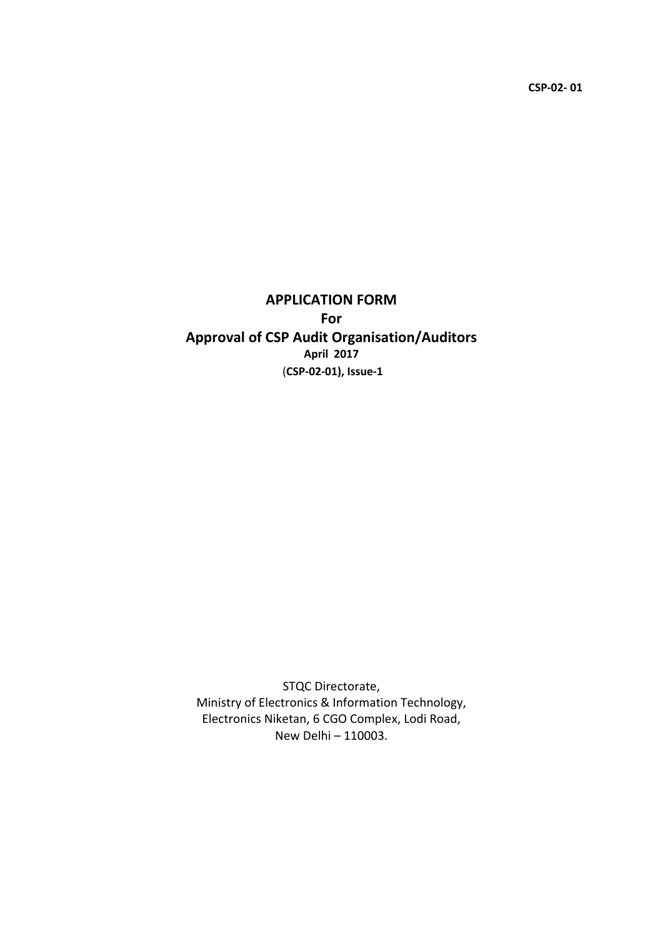CSP-02- 01

# APPLICATION FORM For Approval of CSP Audit Organisation/Auditors April 2017 (CSP-02-01), Issue-1

STQC Directorate, Ministry of Electronics & Information Technology, Electronics Niketan, 6 CGO Complex, Lodi Road, New Delhi – 110003.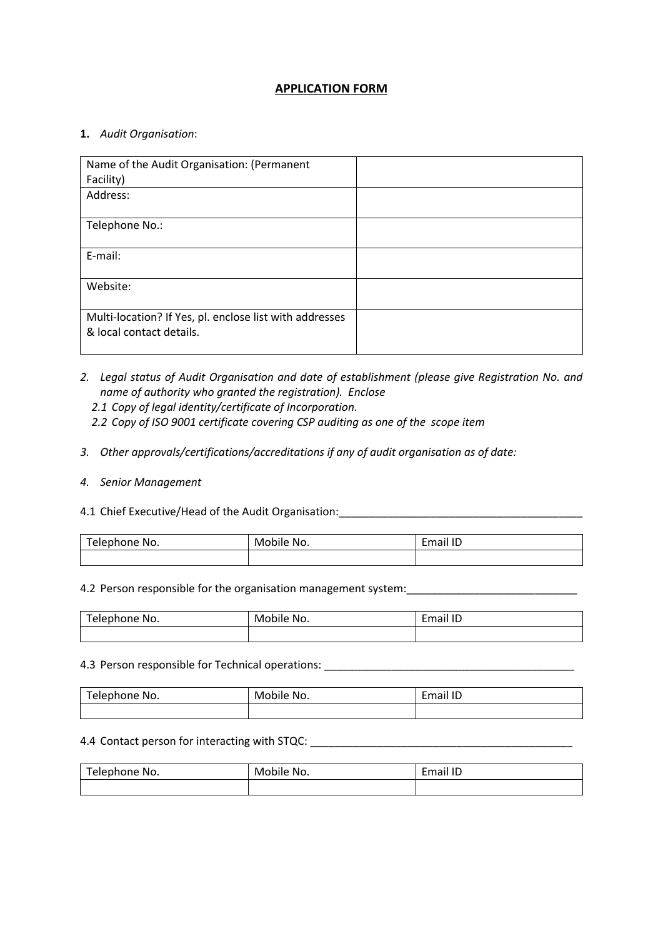## APPLICATION FORM

### 1. *Audit Organisation*:

| Name of the Audit Organisation: (Permanent              |  |
|---------------------------------------------------------|--|
| Facility)                                               |  |
| Address:                                                |  |
|                                                         |  |
| Telephone No.:                                          |  |
|                                                         |  |
| E-mail:                                                 |  |
|                                                         |  |
| Website:                                                |  |
|                                                         |  |
| Multi-location? If Yes, pl. enclose list with addresses |  |
| & local contact details.                                |  |
|                                                         |  |

- *2. Legal status of Audit Organisation and date of establishment (please give Registration No. and name of authority who granted the registration). Enclose* 
	- *2.1 Copy of legal identity/certificate of Incorporation.*
	- *2.2 Copy of ISO 9001 certificate covering CSP auditing as one of the scope item*
- *3. Other approvals/certifications/accreditations if any of audit organisation as of date:*

#### *4. Senior Management*

## 4.1 Chief Executive/Head of the Audit Organisation:\_\_\_\_\_\_\_\_\_\_\_\_\_\_\_\_\_\_\_\_\_\_\_\_\_\_\_\_\_\_\_\_\_\_\_\_\_\_\_\_

| Telephone No. | No.<br>Mobile. | iil ID<br>mail |
|---------------|----------------|----------------|
|               |                |                |

#### 4.2 Person responsible for the organisation management system: \_\_\_\_\_\_\_\_\_\_\_\_\_\_\_\_\_\_

| Telephone No. | Mobile No. | Email ID |
|---------------|------------|----------|
|               |            |          |

#### 4.3 Person responsible for Technical operations: \_\_\_\_\_\_\_\_\_\_\_\_\_\_\_\_\_\_\_\_\_\_\_\_\_\_\_\_\_\_\_

| Telephone No. | Mobile<br>No. | <i>c</i> mail ID |
|---------------|---------------|------------------|
|               |               |                  |

#### 4.4 Contact person for interacting with STQC: \_\_\_\_\_\_\_\_\_\_\_\_\_\_\_\_\_\_\_\_\_\_\_\_\_\_\_\_\_\_\_\_\_\_\_

| Telephone No. | Mobile No. | Email ID |
|---------------|------------|----------|
|               |            |          |